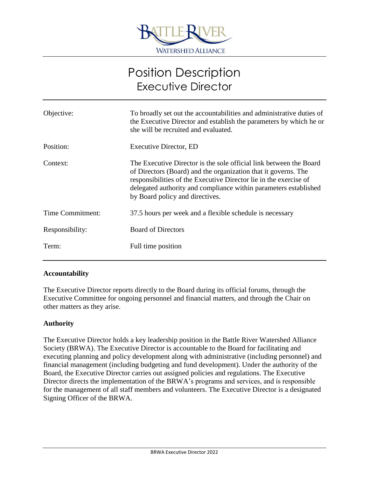

# Position Description Executive Director

| Objective:       | To broadly set out the accountabilities and administrative duties of<br>the Executive Director and establish the parameters by which he or<br>she will be recruited and evaluated.                                                                                                                               |
|------------------|------------------------------------------------------------------------------------------------------------------------------------------------------------------------------------------------------------------------------------------------------------------------------------------------------------------|
| Position:        | <b>Executive Director, ED</b>                                                                                                                                                                                                                                                                                    |
| Context:         | The Executive Director is the sole official link between the Board<br>of Directors (Board) and the organization that it governs. The<br>responsibilities of the Executive Director lie in the exercise of<br>delegated authority and compliance within parameters established<br>by Board policy and directives. |
| Time Commitment: | 37.5 hours per week and a flexible schedule is necessary                                                                                                                                                                                                                                                         |
| Responsibility:  | <b>Board of Directors</b>                                                                                                                                                                                                                                                                                        |
| Term:            | Full time position                                                                                                                                                                                                                                                                                               |

# **Accountability**

The Executive Director reports directly to the Board during its official forums, through the Executive Committee for ongoing personnel and financial matters, and through the Chair on other matters as they arise.

# **Authority**

The Executive Director holds a key leadership position in the Battle River Watershed Alliance Society (BRWA). The Executive Director is accountable to the Board for facilitating and executing planning and policy development along with administrative (including personnel) and financial management (including budgeting and fund development). Under the authority of the Board, the Executive Director carries out assigned policies and regulations. The Executive Director directs the implementation of the BRWA's programs and services, and is responsible for the management of all staff members and volunteers. The Executive Director is a designated Signing Officer of the BRWA.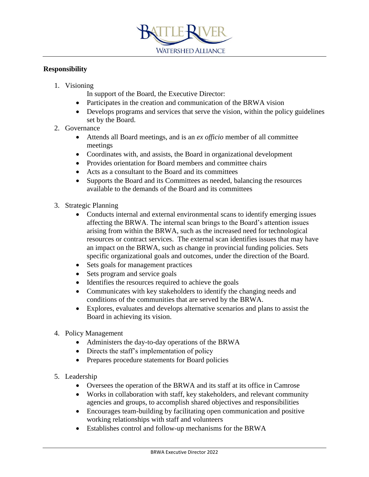

# **Responsibility**

1. Visioning

In support of the Board, the Executive Director:

- Participates in the creation and communication of the BRWA vision
- Develops programs and services that serve the vision, within the policy guidelines set by the Board.
- 2. Governance
	- Attends all Board meetings, and is an *ex officio* member of all committee meetings
	- Coordinates with, and assists, the Board in organizational development
	- Provides orientation for Board members and committee chairs
	- Acts as a consultant to the Board and its committees
	- Supports the Board and its Committees as needed, balancing the resources available to the demands of the Board and its committees
- 3. Strategic Planning
	- Conducts internal and external environmental scans to identify emerging issues affecting the BRWA. The internal scan brings to the Board's attention issues arising from within the BRWA, such as the increased need for technological resources or contract services. The external scan identifies issues that may have an impact on the BRWA, such as change in provincial funding policies. Sets specific organizational goals and outcomes, under the direction of the Board.
	- Sets goals for management practices
	- Sets program and service goals
	- Identifies the resources required to achieve the goals
	- Communicates with key stakeholders to identify the changing needs and conditions of the communities that are served by the BRWA.
	- Explores, evaluates and develops alternative scenarios and plans to assist the Board in achieving its vision.
- 4. Policy Management
	- Administers the day-to-day operations of the BRWA
	- Directs the staff's implementation of policy
	- Prepares procedure statements for Board policies
- 5. Leadership
	- Oversees the operation of the BRWA and its staff at its office in Camrose
	- Works in collaboration with staff, key stakeholders, and relevant community agencies and groups, to accomplish shared objectives and responsibilities
	- Encourages team-building by facilitating open communication and positive working relationships with staff and volunteers
	- Establishes control and follow-up mechanisms for the BRWA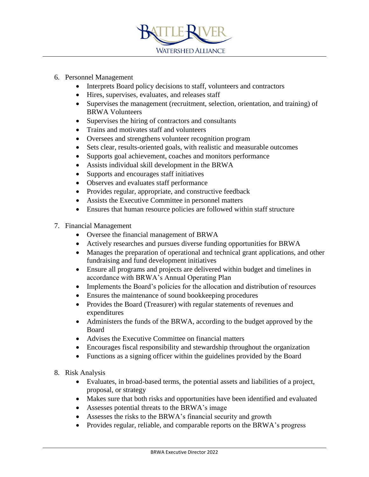

- 6. Personnel Management
	- Interprets Board policy decisions to staff, volunteers and contractors
	- Hires, supervises, evaluates, and releases staff
	- Supervises the management (recruitment, selection, orientation, and training) of BRWA Volunteers
	- Supervises the hiring of contractors and consultants
	- Trains and motivates staff and volunteers
	- Oversees and strengthens volunteer recognition program
	- Sets clear, results-oriented goals, with realistic and measurable outcomes
	- Supports goal achievement, coaches and monitors performance
	- Assists individual skill development in the BRWA
	- Supports and encourages staff initiatives
	- Observes and evaluates staff performance
	- Provides regular, appropriate, and constructive feedback
	- Assists the Executive Committee in personnel matters
	- Ensures that human resource policies are followed within staff structure
- 7. Financial Management
	- Oversee the financial management of BRWA
	- Actively researches and pursues diverse funding opportunities for BRWA
	- Manages the preparation of operational and technical grant applications, and other fundraising and fund development initiatives
	- Ensure all programs and projects are delivered within budget and timelines in accordance with BRWA's Annual Operating Plan
	- Implements the Board's policies for the allocation and distribution of resources
	- Ensures the maintenance of sound bookkeeping procedures
	- Provides the Board (Treasurer) with regular statements of revenues and expenditures
	- Administers the funds of the BRWA, according to the budget approved by the Board
	- Advises the Executive Committee on financial matters
	- Encourages fiscal responsibility and stewardship throughout the organization
	- Functions as a signing officer within the guidelines provided by the Board
- 8. Risk Analysis
	- Evaluates, in broad-based terms, the potential assets and liabilities of a project, proposal, or strategy
	- Makes sure that both risks and opportunities have been identified and evaluated
	- Assesses potential threats to the BRWA's image
	- Assesses the risks to the BRWA's financial security and growth
	- Provides regular, reliable, and comparable reports on the BRWA's progress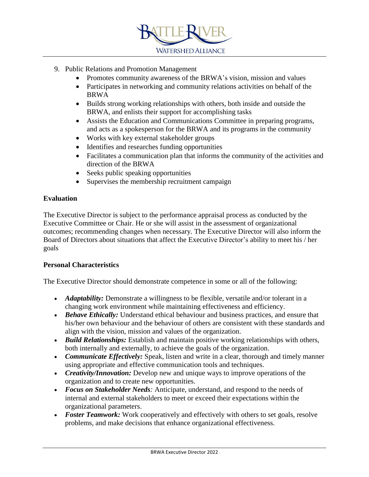

- 9. Public Relations and Promotion Management
	- Promotes community awareness of the BRWA's vision, mission and values
	- Participates in networking and community relations activities on behalf of the BRWA
	- Builds strong working relationships with others, both inside and outside the BRWA, and enlists their support for accomplishing tasks
	- Assists the Education and Communications Committee in preparing programs, and acts as a spokesperson for the BRWA and its programs in the community
	- Works with key external stakeholder groups
	- Identifies and researches funding opportunities
	- Facilitates a communication plan that informs the community of the activities and direction of the BRWA
	- Seeks public speaking opportunities
	- Supervises the membership recruitment campaign

# **Evaluation**

The Executive Director is subject to the performance appraisal process as conducted by the Executive Committee or Chair. He or she will assist in the assessment of organizational outcomes; recommending changes when necessary. The Executive Director will also inform the Board of Directors about situations that affect the Executive Director's ability to meet his / her goals

# **Personal Characteristics**

The Executive Director should demonstrate competence in some or all of the following:

- *Adaptability:* Demonstrate a willingness to be flexible, versatile and/or tolerant in a changing work environment while maintaining effectiveness and efficiency.
- *Behave Ethically:* Understand ethical behaviour and business practices, and ensure that his/her own behaviour and the behaviour of others are consistent with these standards and align with the vision, mission and values of the organization.
- *Build Relationships:* Establish and maintain positive working relationships with others, both internally and externally, to achieve the goals of the organization.
- *Communicate Effectively:* Speak, listen and write in a clear, thorough and timely manner using appropriate and effective communication tools and techniques.
- *Creativity/Innovation:* Develop new and unique ways to improve operations of the organization and to create new opportunities.
- *Focus on Stakeholder Needs:* Anticipate, understand, and respond to the needs of internal and external stakeholders to meet or exceed their expectations within the organizational parameters.
- **Foster Teamwork:** Work cooperatively and effectively with others to set goals, resolve problems, and make decisions that enhance organizational effectiveness.